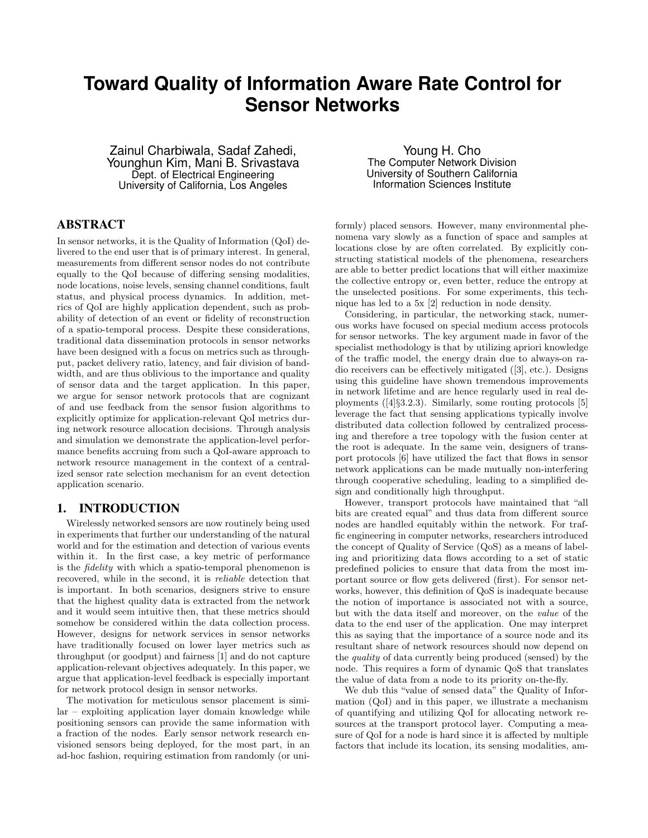# **Toward Quality of Information Aware Rate Control for Sensor Networks**

Zainul Charbiwala, Sadaf Zahedi, Younghun Kim, Mani B. Srivastava Dept. of Electrical Engineering University of California, Los Angeles

# ABSTRACT

In sensor networks, it is the Quality of Information (QoI) delivered to the end user that is of primary interest. In general, measurements from different sensor nodes do not contribute equally to the QoI because of differing sensing modalities, node locations, noise levels, sensing channel conditions, fault status, and physical process dynamics. In addition, metrics of QoI are highly application dependent, such as probability of detection of an event or fidelity of reconstruction of a spatio-temporal process. Despite these considerations, traditional data dissemination protocols in sensor networks have been designed with a focus on metrics such as throughput, packet delivery ratio, latency, and fair division of bandwidth, and are thus oblivious to the importance and quality of sensor data and the target application. In this paper, we argue for sensor network protocols that are cognizant of and use feedback from the sensor fusion algorithms to explicitly optimize for application-relevant QoI metrics during network resource allocation decisions. Through analysis and simulation we demonstrate the application-level performance benefits accruing from such a QoI-aware approach to network resource management in the context of a centralized sensor rate selection mechanism for an event detection application scenario.

# 1. INTRODUCTION

Wirelessly networked sensors are now routinely being used in experiments that further our understanding of the natural world and for the estimation and detection of various events within it. In the first case, a key metric of performance is the fidelity with which a spatio-temporal phenomenon is recovered, while in the second, it is reliable detection that is important. In both scenarios, designers strive to ensure that the highest quality data is extracted from the network and it would seem intuitive then, that these metrics should somehow be considered within the data collection process. However, designs for network services in sensor networks have traditionally focused on lower layer metrics such as throughput (or goodput) and fairness [1] and do not capture application-relevant objectives adequately. In this paper, we argue that application-level feedback is especially important for network protocol design in sensor networks.

The motivation for meticulous sensor placement is similar – exploiting application layer domain knowledge while positioning sensors can provide the same information with a fraction of the nodes. Early sensor network research envisioned sensors being deployed, for the most part, in an ad-hoc fashion, requiring estimation from randomly (or uni-

Young H. Cho The Computer Network Division University of Southern California Information Sciences Institute

formly) placed sensors. However, many environmental phenomena vary slowly as a function of space and samples at locations close by are often correlated. By explicitly constructing statistical models of the phenomena, researchers are able to better predict locations that will either maximize the collective entropy or, even better, reduce the entropy at the unselected positions. For some experiments, this technique has led to a 5x [2] reduction in node density.

Considering, in particular, the networking stack, numerous works have focused on special medium access protocols for sensor networks. The key argument made in favor of the specialist methodology is that by utilizing apriori knowledge of the traffic model, the energy drain due to always-on radio receivers can be effectively mitigated ([3], etc.). Designs using this guideline have shown tremendous improvements in network lifetime and are hence regularly used in real deployments ([4]§3.2.3). Similarly, some routing protocols [5] leverage the fact that sensing applications typically involve distributed data collection followed by centralized processing and therefore a tree topology with the fusion center at the root is adequate. In the same vein, designers of transport protocols [6] have utilized the fact that flows in sensor network applications can be made mutually non-interfering through cooperative scheduling, leading to a simplified design and conditionally high throughput.

However, transport protocols have maintained that "all bits are created equal" and thus data from different source nodes are handled equitably within the network. For traffic engineering in computer networks, researchers introduced the concept of Quality of Service (QoS) as a means of labeling and prioritizing data flows according to a set of static predefined policies to ensure that data from the most important source or flow gets delivered (first). For sensor networks, however, this definition of QoS is inadequate because the notion of importance is associated not with a source, but with the data itself and moreover, on the value of the data to the end user of the application. One may interpret this as saying that the importance of a source node and its resultant share of network resources should now depend on the quality of data currently being produced (sensed) by the node. This requires a form of dynamic QoS that translates the value of data from a node to its priority on-the-fly.

We dub this "value of sensed data" the Quality of Information (QoI) and in this paper, we illustrate a mechanism of quantifying and utilizing QoI for allocating network resources at the transport protocol layer. Computing a measure of QoI for a node is hard since it is affected by multiple factors that include its location, its sensing modalities, am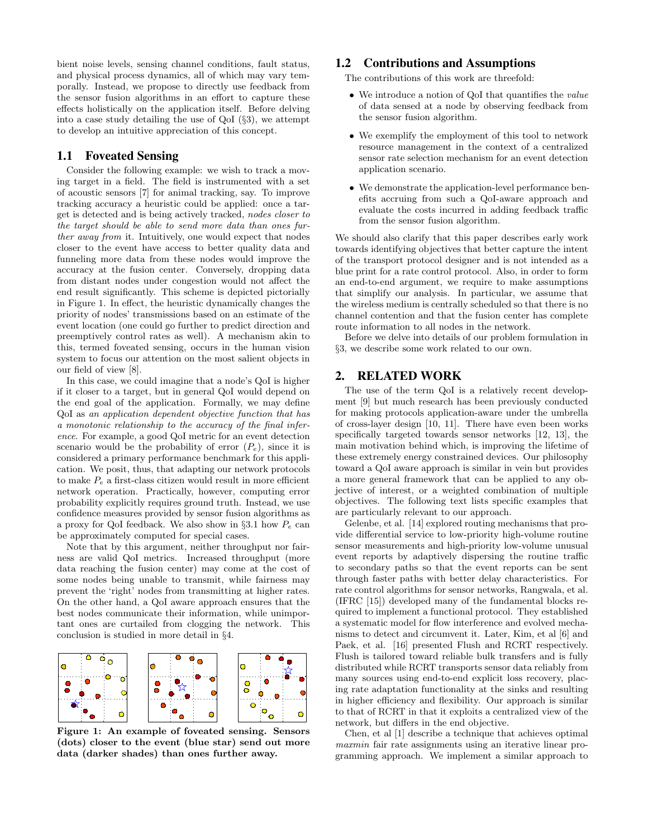bient noise levels, sensing channel conditions, fault status, and physical process dynamics, all of which may vary temporally. Instead, we propose to directly use feedback from the sensor fusion algorithms in an effort to capture these effects holistically on the application itself. Before delving into a case study detailing the use of QoI (§3), we attempt to develop an intuitive appreciation of this concept.

# 1.1 Foveated Sensing

Consider the following example: we wish to track a moving target in a field. The field is instrumented with a set of acoustic sensors [7] for animal tracking, say. To improve tracking accuracy a heuristic could be applied: once a target is detected and is being actively tracked, nodes closer to the target should be able to send more data than ones further away from it. Intuitively, one would expect that nodes closer to the event have access to better quality data and funneling more data from these nodes would improve the accuracy at the fusion center. Conversely, dropping data from distant nodes under congestion would not affect the end result significantly. This scheme is depicted pictorially in Figure 1. In effect, the heuristic dynamically changes the priority of nodes' transmissions based on an estimate of the event location (one could go further to predict direction and preemptively control rates as well). A mechanism akin to this, termed foveated sensing, occurs in the human vision system to focus our attention on the most salient objects in our field of view [8].

In this case, we could imagine that a node's QoI is higher if it closer to a target, but in general QoI would depend on the end goal of the application. Formally, we may define QoI as an application dependent objective function that has a monotonic relationship to the accuracy of the final inference. For example, a good QoI metric for an event detection scenario would be the probability of error  $(P_e)$ , since it is considered a primary performance benchmark for this application. We posit, thus, that adapting our network protocols to make  $P_e$  a first-class citizen would result in more efficient network operation. Practically, however, computing error probability explicitly requires ground truth. Instead, we use confidence measures provided by sensor fusion algorithms as a proxy for QoI feedback. We also show in  $\S 3.1$  how  $P_e$  can be approximately computed for special cases.

Note that by this argument, neither throughput nor fairness are valid QoI metrics. Increased throughput (more data reaching the fusion center) may come at the cost of some nodes being unable to transmit, while fairness may prevent the 'right' nodes from transmitting at higher rates. On the other hand, a QoI aware approach ensures that the best nodes communicate their information, while unimportant ones are curtailed from clogging the network. This conclusion is studied in more detail in §4.



Figure 1: An example of foveated sensing. Sensors (dots) closer to the event (blue star) send out more data (darker shades) than ones further away.

### 1.2 Contributions and Assumptions

The contributions of this work are threefold:

- We introduce a notion of OoI that quantifies the *value* of data sensed at a node by observing feedback from the sensor fusion algorithm.
- We exemplify the employment of this tool to network resource management in the context of a centralized sensor rate selection mechanism for an event detection application scenario.
- We demonstrate the application-level performance benefits accruing from such a QoI-aware approach and evaluate the costs incurred in adding feedback traffic from the sensor fusion algorithm.

We should also clarify that this paper describes early work towards identifying objectives that better capture the intent of the transport protocol designer and is not intended as a blue print for a rate control protocol. Also, in order to form an end-to-end argument, we require to make assumptions that simplify our analysis. In particular, we assume that the wireless medium is centrally scheduled so that there is no channel contention and that the fusion center has complete route information to all nodes in the network.

Before we delve into details of our problem formulation in §3, we describe some work related to our own.

# 2. RELATED WORK

The use of the term QoI is a relatively recent development [9] but much research has been previously conducted for making protocols application-aware under the umbrella of cross-layer design [10, 11]. There have even been works specifically targeted towards sensor networks [12, 13], the main motivation behind which, is improving the lifetime of these extremely energy constrained devices. Our philosophy toward a QoI aware approach is similar in vein but provides a more general framework that can be applied to any objective of interest, or a weighted combination of multiple objectives. The following text lists specific examples that are particularly relevant to our approach.

Gelenbe, et al. [14] explored routing mechanisms that provide differential service to low-priority high-volume routine sensor measurements and high-priority low-volume unusual event reports by adaptively dispersing the routine traffic to secondary paths so that the event reports can be sent through faster paths with better delay characteristics. For rate control algorithms for sensor networks, Rangwala, et al. (IFRC [15]) developed many of the fundamental blocks required to implement a functional protocol. They established a systematic model for flow interference and evolved mechanisms to detect and circumvent it. Later, Kim, et al [6] and Paek, et al. [16] presented Flush and RCRT respectively. Flush is tailored toward reliable bulk transfers and is fully distributed while RCRT transports sensor data reliably from many sources using end-to-end explicit loss recovery, placing rate adaptation functionality at the sinks and resulting in higher efficiency and flexibility. Our approach is similar to that of RCRT in that it exploits a centralized view of the network, but differs in the end objective.

Chen, et al [1] describe a technique that achieves optimal maxmin fair rate assignments using an iterative linear programming approach. We implement a similar approach to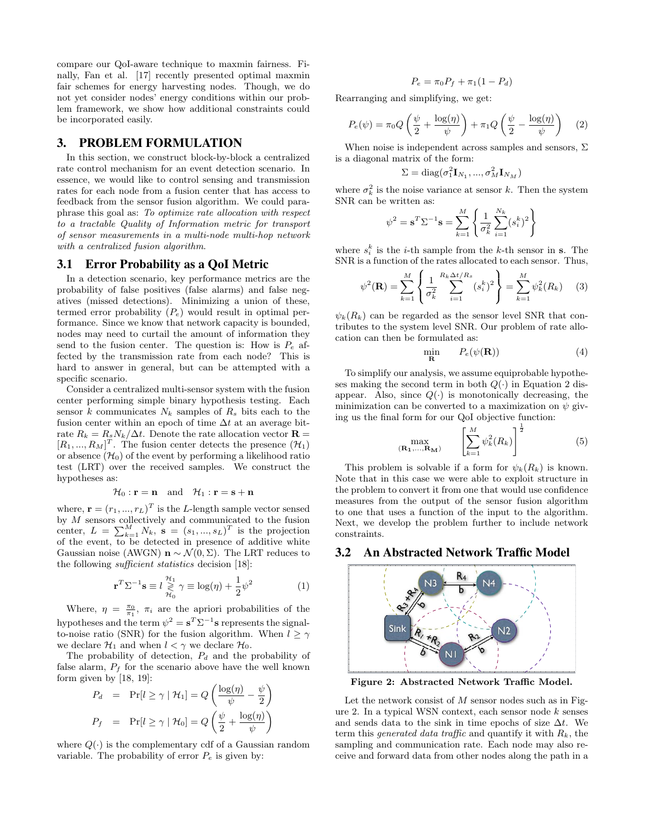compare our QoI-aware technique to maxmin fairness. Finally, Fan et al. [17] recently presented optimal maxmin fair schemes for energy harvesting nodes. Though, we do not yet consider nodes' energy conditions within our problem framework, we show how additional constraints could be incorporated easily.

# 3. PROBLEM FORMULATION

In this section, we construct block-by-block a centralized rate control mechanism for an event detection scenario. In essence, we would like to control sensing and transmission rates for each node from a fusion center that has access to feedback from the sensor fusion algorithm. We could paraphrase this goal as: To optimize rate allocation with respect to a tractable Quality of Information metric for transport of sensor measurements in a multi-node multi-hop network with a centralized fusion algorithm.

# 3.1 Error Probability as a QoI Metric

In a detection scenario, key performance metrics are the probability of false positives (false alarms) and false negatives (missed detections). Minimizing a union of these, termed error probability  $(P_e)$  would result in optimal performance. Since we know that network capacity is bounded, nodes may need to curtail the amount of information they send to the fusion center. The question is: How is  $P_e$  affected by the transmission rate from each node? This is hard to answer in general, but can be attempted with a specific scenario.

Consider a centralized multi-sensor system with the fusion center performing simple binary hypothesis testing. Each sensor k communicates  $N_k$  samples of  $R_s$  bits each to the fusion center within an epoch of time  $\Delta t$  at an average bitrate  $R_k = R_s N_k / \Delta t$ . Denote the rate allocation vector **R** =  $[R_1, ..., R_M]^T$ . The fusion center detects the presence  $(\mathcal{H}_1)$ or absence  $(\mathcal{H}_0)$  of the event by performing a likelihood ratio test (LRT) over the received samples. We construct the hypotheses as:

$$
\mathcal{H}_0: \mathbf{r} = \mathbf{n} \quad \text{and} \quad \mathcal{H}_1: \mathbf{r} = \mathbf{s} + \mathbf{n}
$$

where,  $\mathbf{r} = (r_1, ..., r_L)^T$  is the L-length sample vector sensed by M sensors collectively and communicated to the fusion center,  $L = \sum_{k=1}^{M} N_k$ ,  $\mathbf{s} = (s_1, ..., s_L)^T$  is the projection of the event, to be detected in presence of additive white Gaussian noise (AWGN)  $\mathbf{n} \sim \mathcal{N}(0, \Sigma)$ . The LRT reduces to the following sufficient statistics decision [18]:

$$
\mathbf{r}^T \Sigma^{-1} \mathbf{s} \equiv l \underset{\mathcal{H}_0}{\geqslant} \gamma \equiv \log(\eta) + \frac{1}{2} \psi^2 \tag{1}
$$

Where,  $\eta = \frac{\pi_0}{\pi_1}$ ,  $\pi_i$  are the apriori probabilities of the hypotheses and the term  $\psi^2 = \mathbf{s}^T \Sigma^{-1} \mathbf{s}$  represents the signalto-noise ratio (SNR) for the fusion algorithm. When  $l \geq \gamma$ we declare  $\mathcal{H}_1$  and when  $l < \gamma$  we declare  $\mathcal{H}_0$ .

The probability of detection,  $P_d$  and the probability of false alarm,  $P_f$  for the scenario above have the well known form given by [18, 19]:

$$
P_d = \Pr[l \ge \gamma \mid \mathcal{H}_1] = Q\left(\frac{\log(\eta)}{\psi} - \frac{\psi}{2}\right)
$$

$$
P_f = \Pr[l \ge \gamma \mid \mathcal{H}_0] = Q\left(\frac{\psi}{2} + \frac{\log(\eta)}{\psi}\right)
$$

where  $Q(\cdot)$  is the complementary cdf of a Gaussian random variable. The probability of error  $P_e$  is given by:

$$
P_e = \pi_0 P_f + \pi_1 (1 - P_d)
$$

Rearranging and simplifying, we get:

$$
P_e(\psi) = \pi_0 Q \left( \frac{\psi}{2} + \frac{\log(\eta)}{\psi} \right) + \pi_1 Q \left( \frac{\psi}{2} - \frac{\log(\eta)}{\psi} \right) \tag{2}
$$

When noise is independent across samples and sensors,  $\Sigma$ is a diagonal matrix of the form:

$$
\Sigma = \text{diag}(\sigma_1^2 \mathbf{I}_{N_1}, ..., \sigma_M^2 \mathbf{I}_{N_M})
$$

where  $\sigma_k^2$  is the noise variance at sensor k. Then the system SNR can be written as:

$$
\psi^{2} = \mathbf{s}^{T} \Sigma^{-1} \mathbf{s} = \sum_{k=1}^{M} \left\{ \frac{1}{\sigma_{k}^{2}} \sum_{i=1}^{N_{k}} (s_{i}^{k})^{2} \right\}
$$

where  $s_i^k$  is the *i*-th sample from the *k*-th sensor in **s**. The SNR is a function of the rates allocated to each sensor. Thus,

$$
\psi^{2}(\mathbf{R}) = \sum_{k=1}^{M} \left\{ \frac{1}{\sigma_{k}^{2}} \sum_{i=1}^{R_{k} \Delta t / R_{s}} (s_{i}^{k})^{2} \right\} = \sum_{k=1}^{M} \psi_{k}^{2}(R_{k}) \quad (3)
$$

 $\psi_k(R_k)$  can be regarded as the sensor level SNR that contributes to the system level SNR. Our problem of rate allocation can then be formulated as:

$$
\min_{\mathbf{R}} \qquad P_e(\psi(\mathbf{R})) \tag{4}
$$

To simplify our analysis, we assume equiprobable hypotheses making the second term in both  $Q(\cdot)$  in Equation 2 disappear. Also, since  $Q(\cdot)$  is monotonically decreasing, the minimization can be converted to a maximization on  $\psi$  giving us the final form for our QoI objective function:

$$
\max_{\left(\mathbf{R}_1,\ldots,\mathbf{R}_M\right)} \qquad \left[\sum_{k=1}^M \psi_k^2(R_k)\right]^{\frac{1}{2}} \tag{5}
$$

This problem is solvable if a form for  $\psi_k(R_k)$  is known. Note that in this case we were able to exploit structure in the problem to convert it from one that would use confidence measures from the output of the sensor fusion algorithm to one that uses a function of the input to the algorithm. Next, we develop the problem further to include network constraints.

#### 3.2 An Abstracted Network Traffic Model



Figure 2: Abstracted Network Traffic Model.

Let the network consist of  $M$  sensor nodes such as in Figure 2. In a typical WSN context, each sensor node k senses and sends data to the sink in time epochs of size  $\Delta t$ . We term this *generated data traffic* and quantify it with  $R_k$ , the sampling and communication rate. Each node may also receive and forward data from other nodes along the path in a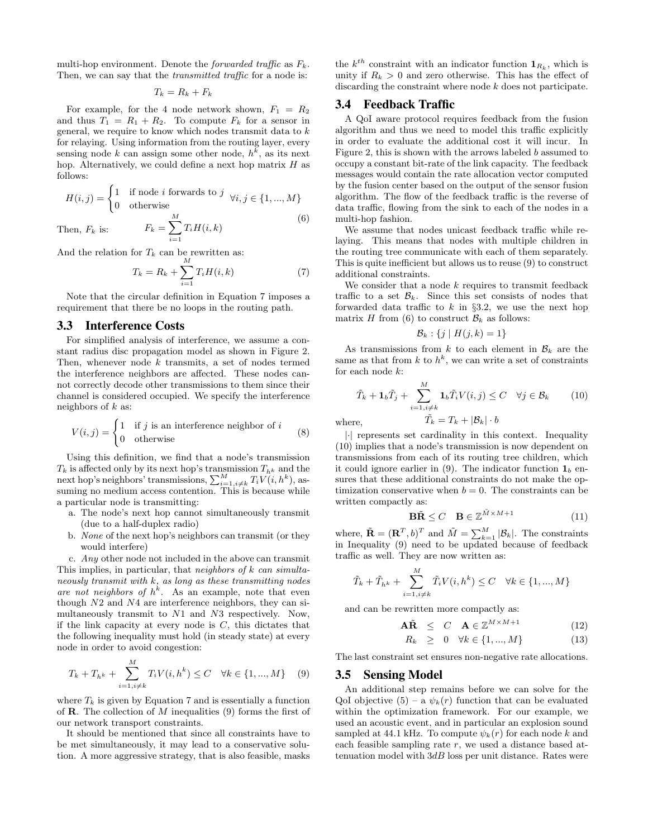multi-hop environment. Denote the *forwarded traffic* as  $F_k$ . Then, we can say that the *transmitted traffic* for a node is:

 $T_k = R_k + F_k$ 

For example, for the 4 node network shown,  $F_1 = R_2$ and thus  $T_1 = R_1 + R_2$ . To compute  $F_k$  for a sensor in general, we require to know which nodes transmit data to  $k$ for relaying. Using information from the routing layer, every sensing node k can assign some other node,  $h^k$ , as its next hop. Alternatively, we could define a next hop matrix H as follows:

$$
H(i,j) = \begin{cases} 1 & \text{if node } i \text{ forwards to } j \quad \forall i, j \in \{1, ..., M\} \\ 0 & \text{otherwise} \end{cases}
$$
  
Then,  $F_k$  is: 
$$
F_k = \sum_{i=1}^{M} T_i H(i,k)
$$
 (6)

 $i=1$ 

Then,  $F_k$  is:

And the relation for  $T_k$  can be rewritten as:

$$
T_k = R_k + \sum_{i=1}^{M} T_i H(i, k)
$$
 (7)

Note that the circular definition in Equation 7 imposes a requirement that there be no loops in the routing path.

#### 3.3 Interference Costs

For simplified analysis of interference, we assume a constant radius disc propagation model as shown in Figure 2. Then, whenever node  $k$  transmits, a set of nodes termed the interference neighbors are affected. These nodes cannot correctly decode other transmissions to them since their channel is considered occupied. We specify the interference neighbors of  $k$  as:

$$
V(i,j) = \begin{cases} 1 & \text{if } j \text{ is an interference neighbor of } i \\ 0 & \text{otherwise} \end{cases}
$$
 (8)

Using this definition, we find that a node's transmission  $T_k$  is affected only by its next hop's transmission  $T_{h^k}$  and the next hop's neighbors' transmissions,  $\sum_{i=1, i\neq k}^{M} T_i V(i, h^k)$ , assuming no medium access contention. This is because while a particular node is transmitting:

- a. The node's next hop cannot simultaneously transmit (due to a half-duplex radio)
- b. None of the next hop's neighbors can transmit (or they would interfere)

c. Any other node not included in the above can transmit This implies, in particular, that neighbors of  $k$  can simultaneously transmit with  $k$ , as long as these transmitting nodes are not neighbors of  $h^k$ . As an example, note that even though N2 and N4 are interference neighbors, they can simultaneously transmit to N1 and N3 respectively. Now, if the link capacity at every node is  $C$ , this dictates that the following inequality must hold (in steady state) at every node in order to avoid congestion:

$$
T_k + T_{h^k} + \sum_{i=1, i \neq k}^{M} T_i V(i, h^k) \le C \quad \forall k \in \{1, ..., M\} \quad (9)
$$

where  $T_k$  is given by Equation 7 and is essentially a function of **R**. The collection of M inequalities  $(9)$  forms the first of our network transport constraints.

It should be mentioned that since all constraints have to be met simultaneously, it may lead to a conservative solution. A more aggressive strategy, that is also feasible, masks

the  $k^{th}$  constraint with an indicator function  $\mathbf{1}_{R_k}$ , which is unity if  $R_k > 0$  and zero otherwise. This has the effect of discarding the constraint where node k does not participate.

#### 3.4 Feedback Traffic

A QoI aware protocol requires feedback from the fusion algorithm and thus we need to model this traffic explicitly in order to evaluate the additional cost it will incur. In Figure 2, this is shown with the arrows labeled b assumed to occupy a constant bit-rate of the link capacity. The feedback messages would contain the rate allocation vector computed by the fusion center based on the output of the sensor fusion algorithm. The flow of the feedback traffic is the reverse of data traffic, flowing from the sink to each of the nodes in a multi-hop fashion.

We assume that nodes unicast feedback traffic while relaying. This means that nodes with multiple children in the routing tree communicate with each of them separately. This is quite inefficient but allows us to reuse (9) to construct additional constraints.

We consider that a node  $k$  requires to transmit feedback traffic to a set  $\mathcal{B}_k$ . Since this set consists of nodes that forwarded data traffic to  $k$  in §3.2, we use the next hop matrix H from (6) to construct  $\mathcal{B}_k$  as follows:

$$
\mathcal{B}_k: \{j \mid H(j,k)=1\}
$$

As transmissions from  $k$  to each element in  $\mathcal{B}_k$  are the same as that from  $k$  to  $h^k$ , we can write a set of constraints for each node  $k$ :

$$
\tilde{T}_k + \mathbf{1}_b \tilde{T}_j + \sum_{i=1, i \neq k}^M \mathbf{1}_b \tilde{T}_i V(i, j) \le C \quad \forall j \in \mathcal{B}_k \tag{10}
$$

where  $\tilde{T_k} = T_k + |\mathcal{B}_k| \cdot b$ 

|·| represents set cardinality in this context. Inequality (10) implies that a node's transmission is now dependent on transmissions from each of its routing tree children, which it could ignore earlier in (9). The indicator function  $\mathbf{1}_b$  ensures that these additional constraints do not make the optimization conservative when  $b = 0$ . The constraints can be written compactly as:

$$
\mathbf{B}\tilde{\mathbf{R}} \le C \quad \mathbf{B} \in \mathbb{Z}^{\tilde{M} \times M + 1} \tag{11}
$$

where,  $\tilde{\mathbf{R}} = (\mathbf{R}^T, b)^T$  and  $\tilde{M} = \sum_{k=1}^M |\mathcal{B}_k|$ . The constraints in Inequality (9) need to be updated because of feedback traffic as well. They are now written as:

$$
\tilde{T}_k + \tilde{T}_{h^k} + \sum_{i=1, i \neq k}^M \tilde{T}_i V(i, h^k) \le C \quad \forall k \in \{1, ..., M\}
$$

and can be rewritten more compactly as:

$$
\mathbf{A}\tilde{\mathbf{R}} \leq C \quad \mathbf{A} \in \mathbb{Z}^{M \times M + 1} \tag{12}
$$

$$
R_k \geq 0 \quad \forall k \in \{1, ..., M\} \tag{13}
$$

The last constraint set ensures non-negative rate allocations.

#### 3.5 Sensing Model

An additional step remains before we can solve for the QoI objective  $(5)$  – a  $\psi_k(r)$  function that can be evaluated within the optimization framework. For our example, we used an acoustic event, and in particular an explosion sound sampled at 44.1 kHz. To compute  $\psi_k(r)$  for each node k and each feasible sampling rate r, we used a distance based attenuation model with  $3dB$  loss per unit distance. Rates were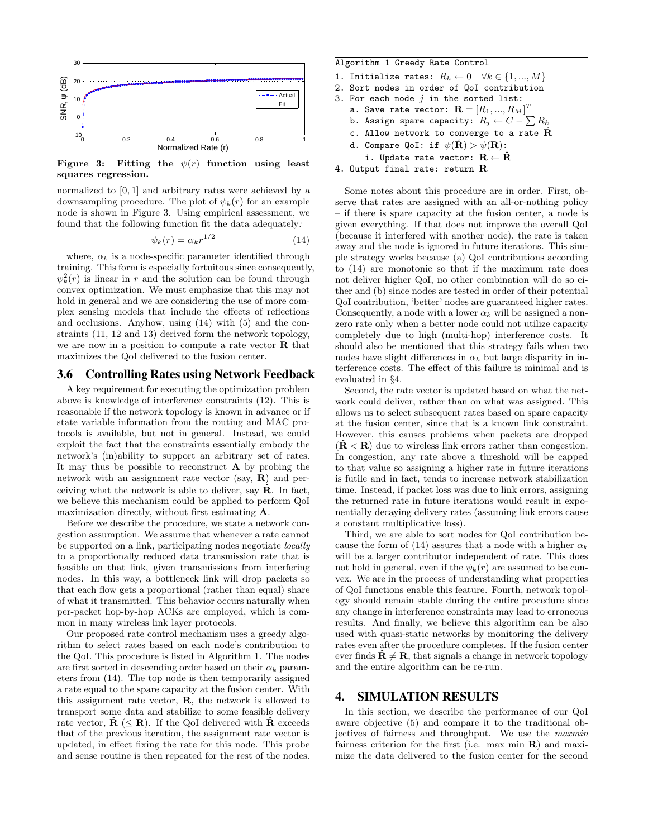

Figure 3: Fitting the  $\psi(r)$  function using least squares regression.

normalized to [0, 1] and arbitrary rates were achieved by a downsampling procedure. The plot of  $\psi_k(r)$  for an example node is shown in Figure 3. Using empirical assessment, we found that the following function fit the data adequately:

$$
\psi_k(r) = \alpha_k r^{1/2} \tag{14}
$$

where,  $\alpha_k$  is a node-specific parameter identified through training. This form is especially fortuitous since consequently,  $\psi_k^2(r)$  is linear in r and the solution can be found through convex optimization. We must emphasize that this may not hold in general and we are considering the use of more complex sensing models that include the effects of reflections and occlusions. Anyhow, using (14) with (5) and the constraints (11, 12 and 13) derived form the network topology, we are now in a position to compute a rate vector  **that** maximizes the QoI delivered to the fusion center.

#### 3.6 Controlling Rates using Network Feedback

A key requirement for executing the optimization problem above is knowledge of interference constraints (12). This is reasonable if the network topology is known in advance or if state variable information from the routing and MAC protocols is available, but not in general. Instead, we could exploit the fact that the constraints essentially embody the network's (in)ability to support an arbitrary set of rates. It may thus be possible to reconstruct  $\bf{A}$  by probing the network with an assignment rate vector (say, R) and perceiving what the network is able to deliver, say  $\hat{\mathbf{R}}$ . In fact, we believe this mechanism could be applied to perform QoI maximization directly, without first estimating A.

Before we describe the procedure, we state a network congestion assumption. We assume that whenever a rate cannot be supported on a link, participating nodes negotiate locally to a proportionally reduced data transmission rate that is feasible on that link, given transmissions from interfering nodes. In this way, a bottleneck link will drop packets so that each flow gets a proportional (rather than equal) share of what it transmitted. This behavior occurs naturally when per-packet hop-by-hop ACKs are employed, which is common in many wireless link layer protocols.

Our proposed rate control mechanism uses a greedy algorithm to select rates based on each node's contribution to the QoI. This procedure is listed in Algorithm 1. The nodes are first sorted in descending order based on their  $\alpha_k$  parameters from (14). The top node is then temporarily assigned a rate equal to the spare capacity at the fusion center. With this assignment rate vector, R, the network is allowed to transport some data and stabilize to some feasible delivery rate vector,  $\mathbf{R}$  ( $\leq \mathbf{R}$ ). If the QoI delivered with  $\mathbf{R}$  exceeds that of the previous iteration, the assignment rate vector is updated, in effect fixing the rate for this node. This probe and sense routine is then repeated for the rest of the nodes.

| Algorithm 1 Greedy Rate Control                                        |
|------------------------------------------------------------------------|
| 1. Initialize rates: $R_k \leftarrow 0 \quad \forall k \in \{1, , M\}$ |
| 2. Sort nodes in order of QoI contribution                             |
| 3. For each node $j$ in the sorted list:                               |
| a. Save rate vector: $\mathbf{R} = [R_1, , R_M]^T$                     |
| b. Assign spare capacity: $R_j \leftarrow C - \sum R_k$                |
| c. Allow network to converge to a rate $\hat{\mathbf{R}}$              |
| d. Compare QoI: if $\psi(\hat{\mathbf{R}}) > \psi(\mathbf{R})$ :       |
| i. Update rate vector: $\mathbf{R} \leftarrow \mathbf{R}$              |
| 4. Output final rate: return $R$                                       |

Some notes about this procedure are in order. First, observe that rates are assigned with an all-or-nothing policy – if there is spare capacity at the fusion center, a node is given everything. If that does not improve the overall QoI (because it interfered with another node), the rate is taken away and the node is ignored in future iterations. This simple strategy works because (a) QoI contributions according to (14) are monotonic so that if the maximum rate does not deliver higher QoI, no other combination will do so either and (b) since nodes are tested in order of their potential QoI contribution, 'better' nodes are guaranteed higher rates. Consequently, a node with a lower  $\alpha_k$  will be assigned a nonzero rate only when a better node could not utilize capacity completely due to high (multi-hop) interference costs. It should also be mentioned that this strategy fails when two nodes have slight differences in  $\alpha_k$  but large disparity in interference costs. The effect of this failure is minimal and is evaluated in §4.

Second, the rate vector is updated based on what the network could deliver, rather than on what was assigned. This allows us to select subsequent rates based on spare capacity at the fusion center, since that is a known link constraint. However, this causes problems when packets are dropped  $(\mathbf{R} < \mathbf{R})$  due to wireless link errors rather than congestion. In congestion, any rate above a threshold will be capped to that value so assigning a higher rate in future iterations is futile and in fact, tends to increase network stabilization time. Instead, if packet loss was due to link errors, assigning the returned rate in future iterations would result in exponentially decaying delivery rates (assuming link errors cause a constant multiplicative loss).

Third, we are able to sort nodes for QoI contribution because the form of (14) assures that a node with a higher  $\alpha_k$ will be a larger contributor independent of rate. This does not hold in general, even if the  $\psi_k(r)$  are assumed to be convex. We are in the process of understanding what properties of QoI functions enable this feature. Fourth, network topology should remain stable during the entire procedure since any change in interference constraints may lead to erroneous results. And finally, we believe this algorithm can be also used with quasi-static networks by monitoring the delivery rates even after the procedure completes. If the fusion center ever finds  $\hat{\mathbf{R}} \neq \mathbf{R}$ , that signals a change in network topology and the entire algorithm can be re-run.

#### 4. SIMULATION RESULTS

In this section, we describe the performance of our QoI aware objective (5) and compare it to the traditional objectives of fairness and throughput. We use the maxmin fairness criterion for the first (i.e. max min  $\bf{R}$ ) and maximize the data delivered to the fusion center for the second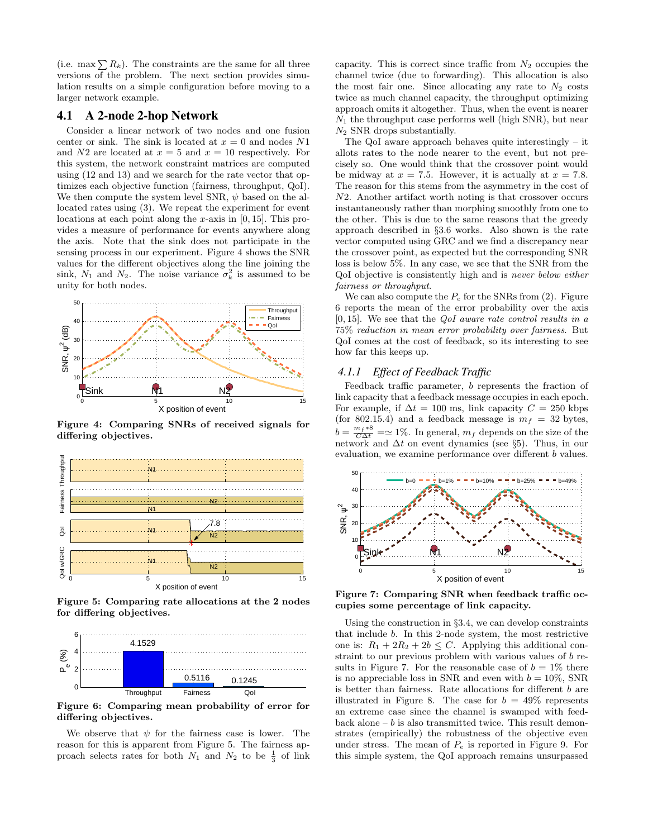(i.e. max  $\sum R_k$ ). The constraints are the same for all three versions of the problem. The next section provides simulation results on a simple configuration before moving to a larger network example.

### 4.1 A 2-node 2-hop Network

Consider a linear network of two nodes and one fusion center or sink. The sink is located at  $x = 0$  and nodes N1 and  $N2$  are located at  $x = 5$  and  $x = 10$  respectively. For this system, the network constraint matrices are computed using (12 and 13) and we search for the rate vector that optimizes each objective function (fairness, throughput, QoI). We then compute the system level SNR,  $\psi$  based on the allocated rates using (3). We repeat the experiment for event locations at each point along the x-axis in [0, 15]. This provides a measure of performance for events anywhere along the axis. Note that the sink does not participate in the sensing process in our experiment. Figure 4 shows the SNR values for the different objectives along the line joining the sink,  $N_1$  and  $N_2$ . The noise variance  $\sigma_k^2$  is assumed to be unity for both nodes.



Figure 4: Comparing SNRs of received signals for differing objectives.



Figure 5: Comparing rate allocations at the 2 nodes for differing objectives.



Figure 6: Comparing mean probability of error for differing objectives.

We observe that  $\psi$  for the fairness case is lower. The reason for this is apparent from Figure 5. The fairness approach selects rates for both  $N_1$  and  $N_2$  to be  $\frac{1}{3}$  of link

capacity. This is correct since traffic from  $N_2$  occupies the channel twice (due to forwarding). This allocation is also the most fair one. Since allocating any rate to  $N_2$  costs twice as much channel capacity, the throughput optimizing approach omits it altogether. Thus, when the event is nearer  $N_1$  the throughput case performs well (high SNR), but near  $N_2$  SNR drops substantially.

The QoI aware approach behaves quite interestingly – it allots rates to the node nearer to the event, but not precisely so. One would think that the crossover point would be midway at  $x = 7.5$ . However, it is actually at  $x = 7.8$ . The reason for this stems from the asymmetry in the cost of N2. Another artifact worth noting is that crossover occurs instantaneously rather than morphing smoothly from one to the other. This is due to the same reasons that the greedy approach described in §3.6 works. Also shown is the rate vector computed using GRC and we find a discrepancy near the crossover point, as expected but the corresponding SNR loss is below 5%. In any case, we see that the SNR from the QoI objective is consistently high and is never below either fairness or throughput.

We can also compute the  $P_e$  for the SNRs from (2). Figure 6 reports the mean of the error probability over the axis  $[0, 15]$ . We see that the *QoI* aware rate control results in a 75% reduction in mean error probability over fairness. But QoI comes at the cost of feedback, so its interesting to see how far this keeps up.

#### *4.1.1 Effect of Feedback Traffic*

Feedback traffic parameter, b represents the fraction of link capacity that a feedback message occupies in each epoch. For example, if  $\Delta t = 100$  ms, link capacity  $C = 250$  kbps (for 802.15.4) and a feedback message is  $m_f = 32$  bytes,  $b = \frac{m_f * 8}{C \Delta t} = \simeq 1\%$ . In general,  $m_f$  depends on the size of the network and  $\Delta t$  on event dynamics (see §5). Thus, in our evaluation, we examine performance over different b values.



Figure 7: Comparing SNR when feedback traffic occupies some percentage of link capacity.

Using the construction in §3.4, we can develop constraints that include b. In this 2-node system, the most restrictive one is:  $R_1 + 2R_2 + 2b \leq C$ . Applying this additional constraint to our previous problem with various values of b results in Figure 7. For the reasonable case of  $b = 1\%$  there is no appreciable loss in SNR and even with  $b = 10\%$ , SNR is better than fairness. Rate allocations for different b are illustrated in Figure 8. The case for  $b = 49\%$  represents an extreme case since the channel is swamped with feedback alone  $- b$  is also transmitted twice. This result demonstrates (empirically) the robustness of the objective even under stress. The mean of  $P_e$  is reported in Figure 9. For this simple system, the QoI approach remains unsurpassed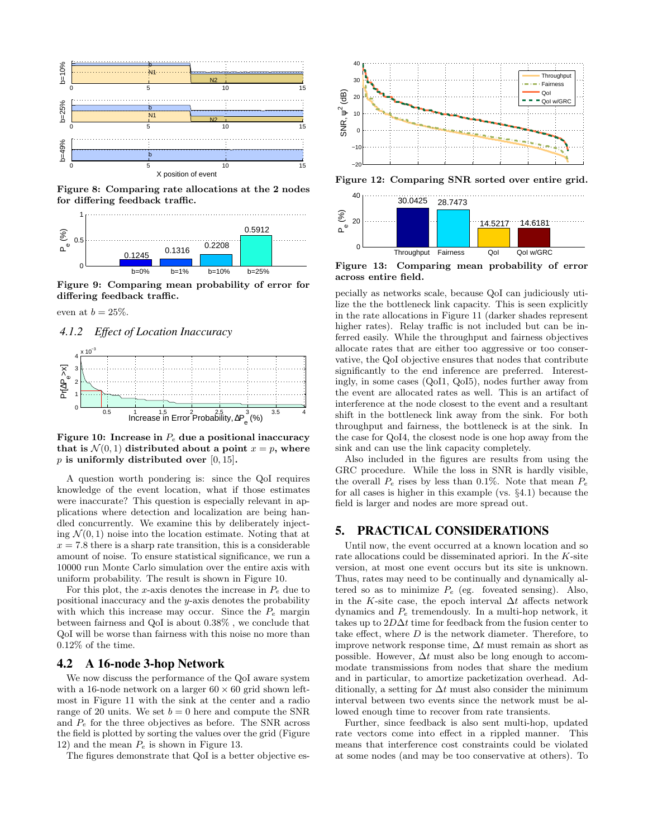

Figure 8: Comparing rate allocations at the 2 nodes for differing feedback traffic.



Figure 9: Comparing mean probability of error for differing feedback traffic.

even at  $b = 25\%$ .

#### *4.1.2 Effect of Location Inaccuracy*



Figure 10: Increase in  $P_e$  due a positional inaccuracy that is  $\mathcal{N}(0,1)$  distributed about a point  $x = p$ , where  $p$  is uniformly distributed over [0, 15].

A question worth pondering is: since the QoI requires knowledge of the event location, what if those estimates were inaccurate? This question is especially relevant in applications where detection and localization are being handled concurrently. We examine this by deliberately injecting  $\mathcal{N}(0, 1)$  noise into the location estimate. Noting that at  $x = 7.8$  there is a sharp rate transition, this is a considerable amount of noise. To ensure statistical significance, we run a 10000 run Monte Carlo simulation over the entire axis with uniform probability. The result is shown in Figure 10.

For this plot, the x-axis denotes the increase in  $P_e$  due to positional inaccuracy and the y-axis denotes the probability with which this increase may occur. Since the  $P_e$  margin between fairness and QoI is about 0.38% , we conclude that QoI will be worse than fairness with this noise no more than 0.12% of the time.

#### 4.2 A 16-node 3-hop Network

We now discuss the performance of the QoI aware system with a 16-node network on a larger  $60 \times 60$  grid shown leftmost in Figure 11 with the sink at the center and a radio range of 20 units. We set  $b = 0$  here and compute the SNR and  $P_e$  for the three objectives as before. The SNR across the field is plotted by sorting the values over the grid (Figure 12) and the mean  $P_e$  is shown in Figure 13.

The figures demonstrate that QoI is a better objective es-



Figure 12: Comparing SNR sorted over entire grid.



Figure 13: Comparing mean probability of error across entire field.

pecially as networks scale, because QoI can judiciously utilize the the bottleneck link capacity. This is seen explicitly in the rate allocations in Figure 11 (darker shades represent higher rates). Relay traffic is not included but can be inferred easily. While the throughput and fairness objectives allocate rates that are either too aggressive or too conservative, the QoI objective ensures that nodes that contribute significantly to the end inference are preferred. Interestingly, in some cases (QoI1, QoI5), nodes further away from the event are allocated rates as well. This is an artifact of interference at the node closest to the event and a resultant shift in the bottleneck link away from the sink. For both throughput and fairness, the bottleneck is at the sink. In the case for QoI4, the closest node is one hop away from the sink and can use the link capacity completely.

Also included in the figures are results from using the GRC procedure. While the loss in SNR is hardly visible, the overall  $P_e$  rises by less than 0.1%. Note that mean  $P_e$ for all cases is higher in this example (vs. §4.1) because the field is larger and nodes are more spread out.

# 5. PRACTICAL CONSIDERATIONS

Until now, the event occurred at a known location and so rate allocations could be disseminated apriori. In the K-site version, at most one event occurs but its site is unknown. Thus, rates may need to be continually and dynamically altered so as to minimize  $P_e$  (eg. foveated sensing). Also, in the K-site case, the epoch interval  $\Delta t$  affects network dynamics and  $P_e$  tremendously. In a multi-hop network, it takes up to  $2D\Delta t$  time for feedback from the fusion center to take effect, where D is the network diameter. Therefore, to improve network response time,  $\Delta t$  must remain as short as possible. However,  $\Delta t$  must also be long enough to accommodate transmissions from nodes that share the medium and in particular, to amortize packetization overhead. Additionally, a setting for  $\Delta t$  must also consider the minimum interval between two events since the network must be allowed enough time to recover from rate transients.

Further, since feedback is also sent multi-hop, updated rate vectors come into effect in a rippled manner. This means that interference cost constraints could be violated at some nodes (and may be too conservative at others). To